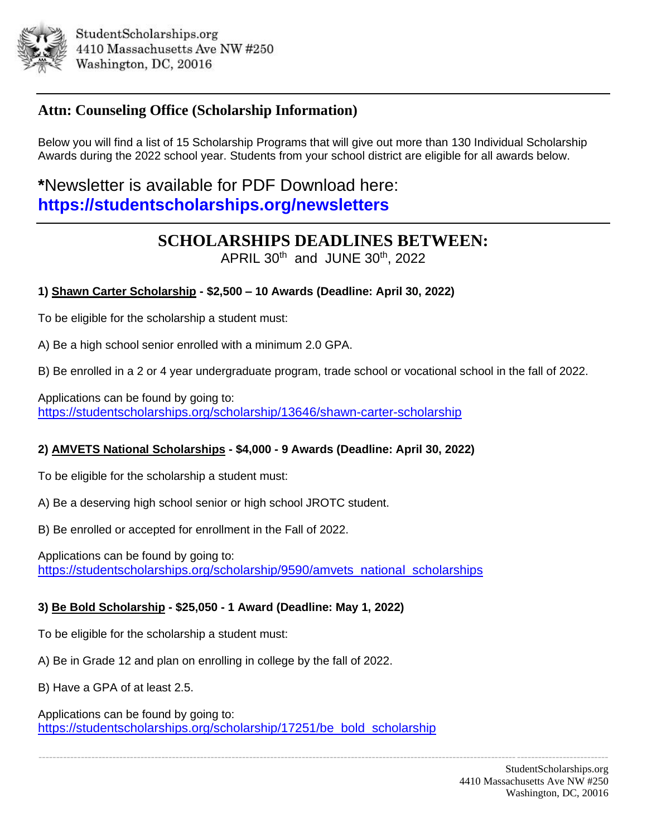

## **Attn: Counseling Office (Scholarship Information)**

Below you will find a list of 15 Scholarship Programs that will give out more than 130 Individual Scholarship Awards during the 2022 school year. Students from your school district are eligible for all awards below.

**\***Newsletter is available for PDF Download here: **https://studentscholarships.org/newsletters**

# **SCHOLARSHIPS DEADLINES BETWEEN:**

APRIL  $30<sup>th</sup>$  and JUNE  $30<sup>th</sup>$ , 2022

## **1) Shawn Carter Scholarship - \$2,500 – 10 Awards (Deadline: April 30, 2022)**

To be eligible for the scholarship a student must:

A) Be a high school senior enrolled with a minimum 2.0 GPA.

B) Be enrolled in a 2 or 4 year undergraduate program, trade school or vocational school in the fall of 2022.

------------------------------------------------------------------------------------------------------------------------------------------------------------------

Applications can be found by going to: <https://studentscholarships.org/scholarship/13646/shawn-carter-scholarship>

## **2) AMVETS National Scholarships - \$4,000 - 9 Awards (Deadline: April 30, 2022)**

To be eligible for the scholarship a student must:

A) Be a deserving high school senior or high school JROTC student.

B) Be enrolled or accepted for enrollment in the Fall of 2022.

Applications can be found by going to: [https://studentscholarships.org/scholarship/9590/amvets\\_national\\_scholarships](https://studentscholarships.org/scholarship/9590/amvets_national_scholarships)

#### **3) Be Bold Scholarship - \$25,050 - 1 Award (Deadline: May 1, 2022)**

To be eligible for the scholarship a student must:

A) Be in Grade 12 and plan on enrolling in college by the fall of 2022.

B) Have a GPA of at least 2.5.

Applications can be found by going to: [https://studentscholarships.org/scholarship/17251/be\\_bold\\_scholarship](https://studentscholarships.org/scholarship/17251/be_bold_scholarship)

> StudentScholarships.org 4410 Massachusetts Ave NW #250 Washington, DC, 20016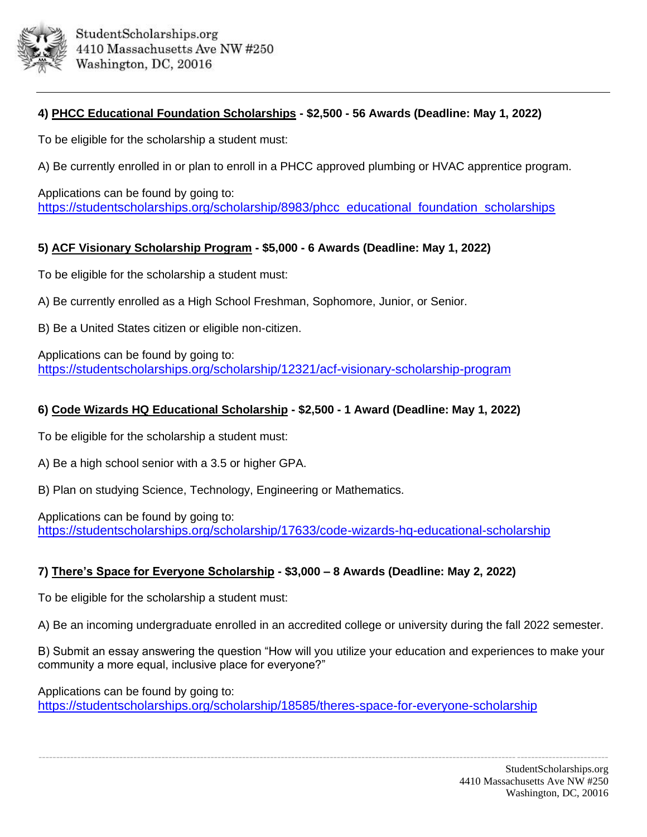

### **4) PHCC Educational Foundation Scholarships - \$2,500 - 56 Awards (Deadline: May 1, 2022)**

To be eligible for the scholarship a student must:

A) Be currently enrolled in or plan to enroll in a PHCC approved plumbing or HVAC apprentice program.

Applications can be found by going to: [https://studentscholarships.org/scholarship/8983/phcc\\_educational\\_foundation\\_scholarships](https://studentscholarships.org/scholarship/8983/phcc_educational_foundation_scholarships)

#### **5) ACF Visionary Scholarship Program - \$5,000 - 6 Awards (Deadline: May 1, 2022)**

To be eligible for the scholarship a student must:

A) Be currently enrolled as a High School Freshman, Sophomore, Junior, or Senior.

B) Be a United States citizen or eligible non-citizen.

Applications can be found by going to: <https://studentscholarships.org/scholarship/12321/acf-visionary-scholarship-program>

#### **6) Code Wizards HQ Educational Scholarship - \$2,500 - 1 Award (Deadline: May 1, 2022)**

To be eligible for the scholarship a student must:

A) Be a high school senior with a 3.5 or higher GPA.

B) Plan on studying Science, Technology, Engineering or Mathematics.

Applications can be found by going to: <https://studentscholarships.org/scholarship/17633/code-wizards-hq-educational-scholarship>

#### **7) There's Space for Everyone Scholarship - \$3,000 – 8 Awards (Deadline: May 2, 2022)**

To be eligible for the scholarship a student must:

A) Be an incoming undergraduate enrolled in an accredited college or university during the fall 2022 semester.

B) Submit an essay answering the question "How will you utilize your education and experiences to make your community a more equal, inclusive place for everyone?"

------------------------------------------------------------------------------------------------------------------------------------------------------------------

Applications can be found by going to:

<https://studentscholarships.org/scholarship/18585/theres-space-for-everyone-scholarship>

StudentScholarships.org 4410 Massachusetts Ave NW #250 Washington, DC, 20016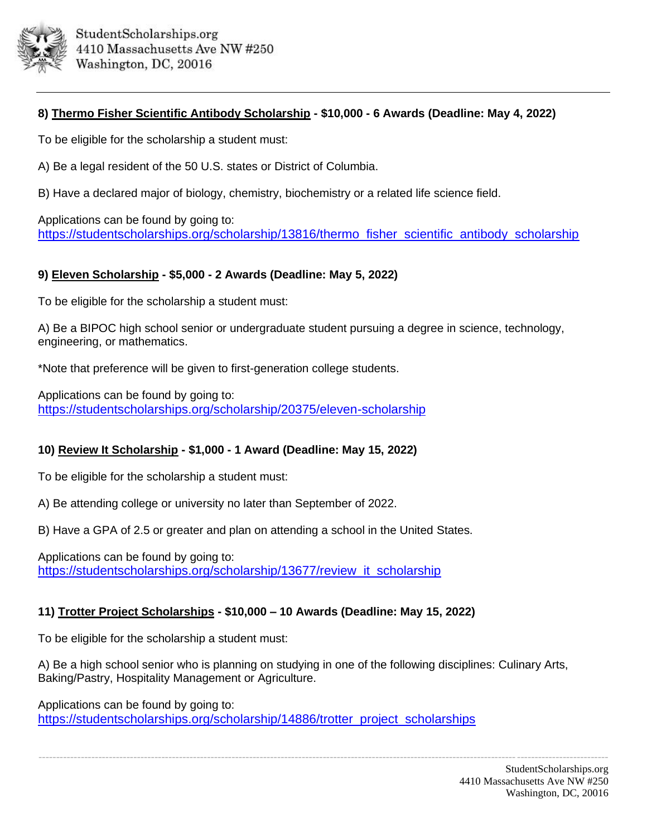

#### **8) Thermo Fisher Scientific Antibody Scholarship - \$10,000 - 6 Awards (Deadline: May 4, 2022)**

To be eligible for the scholarship a student must:

A) Be a legal resident of the 50 U.S. states or District of Columbia.

B) Have a declared major of biology, chemistry, biochemistry or a related life science field.

Applications can be found by going to: [https://studentscholarships.org/scholarship/13816/thermo\\_fisher\\_scientific\\_antibody\\_scholarship](https://studentscholarships.org/scholarship/13816/thermo_fisher_scientific_antibody_scholarship)

#### **9) Eleven Scholarship - \$5,000 - 2 Awards (Deadline: May 5, 2022)**

To be eligible for the scholarship a student must:

A) Be a BIPOC high school senior or undergraduate student pursuing a degree in science, technology, engineering, or mathematics.

\*Note that preference will be given to first-generation college students.

Applications can be found by going to: <https://studentscholarships.org/scholarship/20375/eleven-scholarship>

#### **10) Review It Scholarship - \$1,000 - 1 Award (Deadline: May 15, 2022)**

To be eligible for the scholarship a student must:

A) Be attending college or university no later than September of 2022.

B) Have a GPA of 2.5 or greater and plan on attending a school in the United States.

Applications can be found by going to: [https://studentscholarships.org/scholarship/13677/review\\_it\\_scholarship](https://studentscholarships.org/scholarship/13677/review_it_scholarship)

## **11) Trotter Project Scholarships - \$10,000 – 10 Awards (Deadline: May 15, 2022)**

To be eligible for the scholarship a student must:

A) Be a high school senior who is planning on studying in one of the following disciplines: Culinary Arts, Baking/Pastry, Hospitality Management or Agriculture.

Applications can be found by going to: [https://studentscholarships.org/scholarship/14886/trotter\\_project\\_scholarships](https://studentscholarships.org/scholarship/14886/trotter_project_scholarships)